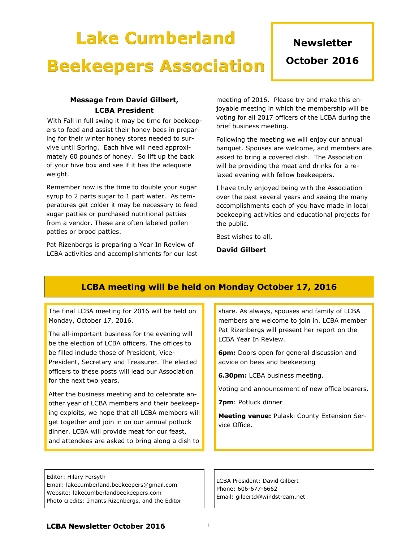# Lake Cumberland Beekeepers Association

# **Newsletter**

October 2016

#### Message from David Gilbert, LCBA President

With Fall in full swing it may be time for beekeepers to feed and assist their honey bees in preparing for their winter honey stores needed to survive until Spring. Each hive will need approximately 60 pounds of honey. So lift up the back of your hive box and see if it has the adequate weight.

Remember now is the time to double your sugar syrup to 2 parts sugar to 1 part water. As temperatures get colder it may be necessary to feed sugar patties or purchased nutritional patties from a vendor. These are often labeled pollen patties or brood patties.

Pat Rizenbergs is preparing a Year In Review of LCBA activities and accomplishments for our last meeting of 2016. Please try and make this enjoyable meeting in which the membership will be voting for all 2017 officers of the LCBA during the brief business meeting.

Following the meeting we will enjoy our annual banquet. Spouses are welcome, and members are asked to bring a covered dish. The Association will be providing the meat and drinks for a relaxed evening with fellow beekeepers.

I have truly enjoyed being with the Association over the past several years and seeing the many accomplishments each of you have made in local beekeeping activities and educational projects for the public.

Best wishes to all,

David Gilbert

### LCBA meeting will be held on Monday October 17, 2016

The final LCBA meeting for 2016 will be held on Monday, October 17, 2016.

The all-important business for the evening will be the election of LCBA officers. The offices to be filled include those of President, Vice-President, Secretary and Treasurer. The elected officers to these posts will lead our Association for the next two years.

After the business meeting and to celebrate another year of LCBA members and their beekeeping exploits, we hope that all LCBA members will get together and join in on our annual potluck dinner. LCBA will provide meat for our feast, and attendees are asked to bring along a dish to

Editor: Hilary Forsyth Email: lakecumberland.beekeepers@gmail.com Website: lakecumberlandbeekeepers.com Photo credits: Imants Rizenbergs, and the Editor share. As always, spouses and family of LCBA members are welcome to join in. LCBA member Pat Rizenbergs will present her report on the LCBA Year In Review.

**6pm:** Doors open for general discussion and advice on bees and beekeeping

6.30pm: LCBA business meeting.

Voting and announcement of new office bearers.

7pm: Potluck dinner

Meeting venue: Pulaski County Extension Service Office.

LCBA President: David Gilbert Phone: 606-677-6662 Email: gilbertd@windstream.net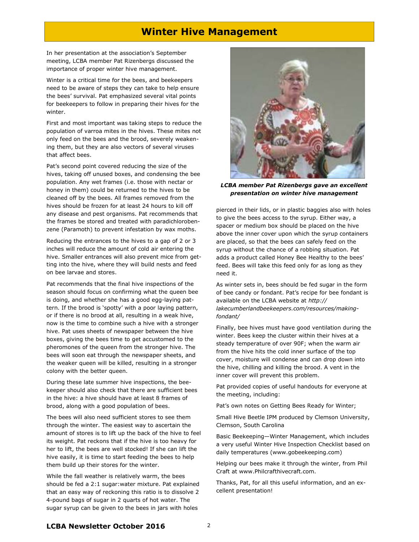#### Winter Hive Management

In her presentation at the association's September meeting, LCBA member Pat Rizenbergs discussed the importance of proper winter hive management.

Winter is a critical time for the bees, and beekeepers need to be aware of steps they can take to help ensure the bees' survival. Pat emphasized several vital points for beekeepers to follow in preparing their hives for the winter.

First and most important was taking steps to reduce the population of varroa mites in the hives. These mites not only feed on the bees and the brood, severely weakening them, but they are also vectors of several viruses that affect bees.

Pat's second point covered reducing the size of the hives, taking off unused boxes, and condensing the bee population. Any wet frames (i.e. those with nectar or honey in them) could be returned to the hives to be cleaned off by the bees. All frames removed from the hives should be frozen for at least 24 hours to kill off any disease and pest organisms. Pat recommends that the frames be stored and treated with paradichlorobenzene (Paramoth) to prevent infestation by wax moths.

Reducing the entrances to the hives to a gap of 2 or 3 inches will reduce the amount of cold air entering the hive. Smaller entrances will also prevent mice from getting into the hive, where they will build nests and feed on bee larvae and stores.

Pat recommends that the final hive inspections of the season should focus on confirming what the queen bee is doing, and whether she has a good egg-laying pattern. If the brood is 'spotty' with a poor laying pattern, or if there is no brood at all, resulting in a weak hive, now is the time to combine such a hive with a stronger hive. Pat uses sheets of newspaper between the hive boxes, giving the bees time to get accustomed to the pheromones of the queen from the stronger hive. The bees will soon eat through the newspaper sheets, and the weaker queen will be killed, resulting in a stronger colony with the better queen.

During these late summer hive inspections, the beekeeper should also check that there are sufficient bees in the hive: a hive should have at least 8 frames of brood, along with a good population of bees.

The bees will also need sufficient stores to see them through the winter. The easiest way to ascertain the amount of stores is to lift up the back of the hive to feel its weight. Pat reckons that if the hive is too heavy for her to lift, the bees are well stocked! If she can lift the hive easily, it is time to start feeding the bees to help them build up their stores for the winter.

While the fall weather is relatively warm, the bees should be fed a 2:1 sugar:water mixture. Pat explained that an easy way of reckoning this ratio is to dissolve 2 4-pound bags of sugar in 2 quarts of hot water. The sugar syrup can be given to the bees in jars with holes



LCBA member Pat Rizenbergs gave an excellent presentation on winter hive management

pierced in their lids, or in plastic baggies also with holes to give the bees access to the syrup. Either way, a spacer or medium box should be placed on the hive above the inner cover upon which the syrup containers are placed, so that the bees can safely feed on the syrup without the chance of a robbing situation. Pat adds a product called Honey Bee Healthy to the bees' feed. Bees will take this feed only for as long as they need it.

As winter sets in, bees should be fed sugar in the form of bee candy or fondant. Pat's recipe for bee fondant is available on the LCBA website at http:// lakecumberlandbeekeepers.com/resources/makingfondant/

Finally, bee hives must have good ventilation during the winter. Bees keep the cluster within their hives at a steady temperature of over 90F; when the warm air from the hive hits the cold inner surface of the top cover, moisture will condense and can drop down into the hive, chilling and killing the brood. A vent in the inner cover will prevent this problem.

Pat provided copies of useful handouts for everyone at the meeting, including:

Pat's own notes on Getting Bees Ready for Winter;

Small Hive Beetle IPM produced by Clemson University, Clemson, South Carolina

Basic Beekeeping—Winter Management, which includes a very useful Winter Hive Inspection Checklist based on daily temperatures (www.gobeekeeping.com)

Helping our bees make it through the winter, from Phil Craft at www.Philcrafthivecraft.com.

Thanks, Pat, for all this useful information, and an excellent presentation!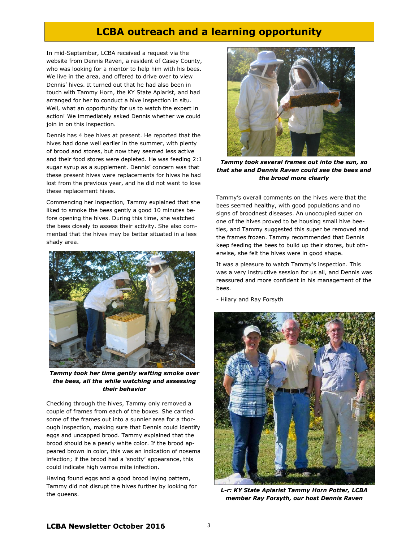### LCBA outreach and a learning opportunity

In mid-September, LCBA received a request via the website from Dennis Raven, a resident of Casey County, who was looking for a mentor to help him with his bees. We live in the area, and offered to drive over to view Dennis' hives. It turned out that he had also been in touch with Tammy Horn, the KY State Apiarist, and had arranged for her to conduct a hive inspection in situ. Well, what an opportunity for us to watch the expert in action! We immediately asked Dennis whether we could join in on this inspection.

Dennis has 4 bee hives at present. He reported that the hives had done well earlier in the summer, with plenty of brood and stores, but now they seemed less active and their food stores were depleted. He was feeding 2:1 sugar syrup as a supplement. Dennis' concern was that these present hives were replacements for hives he had lost from the previous year, and he did not want to lose these replacement hives.

Commencing her inspection, Tammy explained that she liked to smoke the bees gently a good 10 minutes before opening the hives. During this time, she watched the bees closely to assess their activity. She also commented that the hives may be better situated in a less shady area.



Tammy took her time gently wafting smoke over the bees, all the while watching and assessing their behavior

Checking through the hives, Tammy only removed a couple of frames from each of the boxes. She carried some of the frames out into a sunnier area for a thorough inspection, making sure that Dennis could identify eggs and uncapped brood. Tammy explained that the brood should be a pearly white color. If the brood appeared brown in color, this was an indication of nosema infection; if the brood had a 'snotty' appearance, this could indicate high varroa mite infection.

Having found eggs and a good brood laying pattern, Tammy did not disrupt the hives further by looking for the queens.



Tammy took several frames out into the sun, so that she and Dennis Raven could see the bees and the brood more clearly

Tammy's overall comments on the hives were that the bees seemed healthy, with good populations and no signs of broodnest diseases. An unoccupied super on one of the hives proved to be housing small hive beetles, and Tammy suggested this super be removed and the frames frozen. Tammy recommended that Dennis keep feeding the bees to build up their stores, but otherwise, she felt the hives were in good shape.

It was a pleasure to watch Tammy's inspection. This was a very instructive session for us all, and Dennis was reassured and more confident in his management of the bees.

- Hilary and Ray Forsyth



L-r: KY State Apiarist Tammy Horn Potter, LCBA member Ray Forsyth, our host Dennis Raven